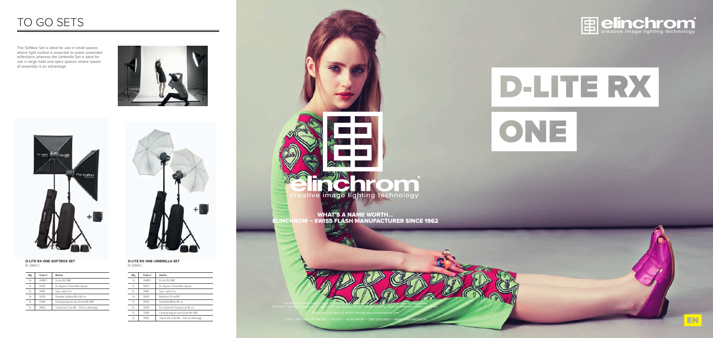

# D-LITE RX ONE

# TO GO SETS

The Softbox Set is ideal for use in small spaces where light control is essential to avoid unwanted reflections whereas the Umbrella set is ideal for use in large halls and open spaces where speed of assembly is an advantage.





| Qty | Code n° | Article                                  |
|-----|---------|------------------------------------------|
| 2x  | 20485.1 | D-I ite RX ONF                           |
| 1x  | 19350   | EL-Skyport Transmitter Speed             |
| 1x  | 11088   | Sync cable 5 m                           |
| 2x  | 26143   | Reflector 16 cm/90°                      |
| 1x  | 26372   | Umbrella White 85 cm                     |
| 1x  | 26351   | Fco Umbrella Translucent 85 cm           |
| 1x  | 33194   | Carrying bag for two D-Lite RX ONE       |
| 1x  | 30162   | Tripod Set 2 (2x $88 - 235$ cm with bag) |

#### **D-Lite RX ONe UmbReLLa Set** N° 20844.2

#### **D-Lite RX ONe SOftbOX Set**  N° 20843.2

| Qty | Code n° | Article                                  |
|-----|---------|------------------------------------------|
| 2x  | 20485.1 | D-I ite RX ONF                           |
| 1x  | 19350   | EL-Skyport Transmitter Speed             |
| 1x  | 11088   | Sync cable 5 m                           |
| 2x  | 26129   | Portalite Softbox 66 x 66 cm             |
| 1x  | 33194   | Carrying bag for two D-Lite RX ONE       |
| 1х  | 30162   | Tripod Set 2 (2x $88 - 235$ cm with bag) |
|     |         |                                          |